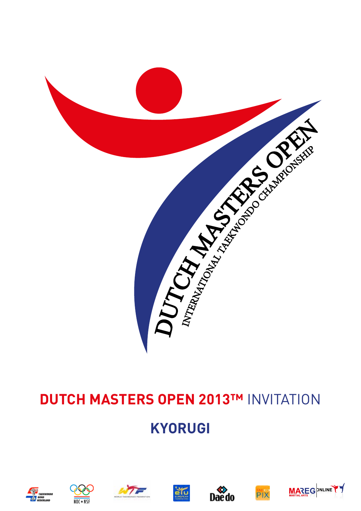

### **Dutch Masters Open 2013™** Invitation

### **kyorugi**













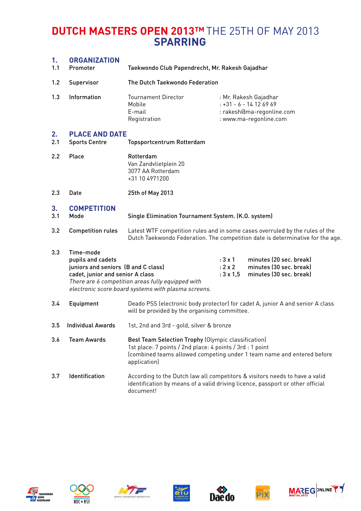| 1.<br>1.1 | <b>ORGANIZATION</b><br>Promoter                                                                           | Taekwondo Club Papendrecht, Mr. Rakesh Gajadhar                                                                                                                                                            |                                                       |                                                                                                        |
|-----------|-----------------------------------------------------------------------------------------------------------|------------------------------------------------------------------------------------------------------------------------------------------------------------------------------------------------------------|-------------------------------------------------------|--------------------------------------------------------------------------------------------------------|
| 1.2       | Supervisor                                                                                                | The Dutch Taekwondo Federation                                                                                                                                                                             |                                                       |                                                                                                        |
| 1.3       | Information                                                                                               | <b>Tournament Director</b><br>Mobile<br>E-mail<br>Registration                                                                                                                                             |                                                       | : Mr. Rakesh Gajadhar<br>$: +31 - 6 - 14126969$<br>: rakesh@ma-regonline.com<br>: www.ma-regonline.com |
| 2.<br>2.1 | <b>PLACE AND DATE</b><br><b>Sports Centre</b>                                                             | <b>Topsportcentrum Rotterdam</b>                                                                                                                                                                           |                                                       |                                                                                                        |
| 2.2       | Place                                                                                                     | Rotterdam<br>Van Zandvlietplein 20<br>3077 AA Rotterdam<br>+31 10 4971200                                                                                                                                  |                                                       |                                                                                                        |
| 2.3       | Date                                                                                                      | 25th of May 2013                                                                                                                                                                                           |                                                       |                                                                                                        |
| 3.<br>3.1 | <b>COMPETITION</b><br>Mode                                                                                | Single Elimination Tournament System. (K.O. system)                                                                                                                                                        |                                                       |                                                                                                        |
| 3.2       | <b>Competition rules</b>                                                                                  | Latest WTF competition rules and in some cases overruled by the rules of the<br>Dutch Taekwondo Federation. The competition date is determinative for the age.                                             |                                                       |                                                                                                        |
| 3.3       | Time-mode<br>pupils and cadets<br>juniors and seniors (B and C class)<br>cadet, junior and senior A class | There are 6 competition areas fully equipped with<br>electronic score board systems with plasma screens.                                                                                                   | $: 3 \times 1$<br>$: 2 \times 2$<br>$: 3 \times 1, 5$ | minutes (20 sec. break)<br>minutes (30 sec. break)<br>minutes (30 sec. break)                          |
| 3.4       | Equipment                                                                                                 | will be provided by the organising committee.                                                                                                                                                              |                                                       | Deado PSS (electronic body protector) for cadet A, junior A and senior A class                         |
| 3.5       | <b>Individual Awards</b>                                                                                  | 1st, 2nd and 3rd - gold, silver & bronze                                                                                                                                                                   |                                                       |                                                                                                        |
| 3.6       | <b>Team Awards</b>                                                                                        | Best Team Selection Trophy (Olympic classification)<br>1st place: 7 points / 2nd place: 4 points / 3rd : 1 point<br>(combined teams allowed competing under 1 team name and entered before<br>application) |                                                       |                                                                                                        |
| 3.7       | Identification                                                                                            | According to the Dutch law all competitors & visitors needs to have a valid<br>identification by means of a valid driving licence, passport or other official<br>document!                                 |                                                       |                                                                                                        |













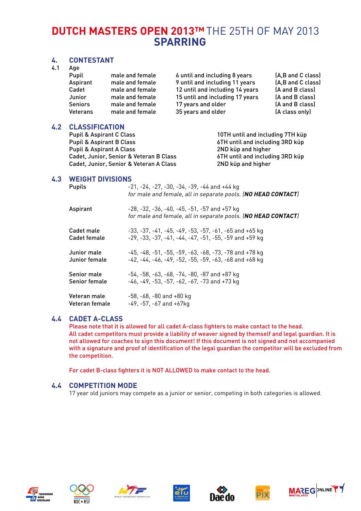#### **4. Contestant**

4.1 Age

| ruc.<br>Pupil<br>Aspirant<br>Cadet          | male and female<br>male and female<br>male and female | 6 until and including 8 years<br>9 until and including 11 years<br>12 until and including 14 years | (A,B and C class)<br>(A,B and C class)<br>(A and B class) |
|---------------------------------------------|-------------------------------------------------------|----------------------------------------------------------------------------------------------------|-----------------------------------------------------------|
| Junior<br><b>Seniors</b><br><b>Veterans</b> | male and female<br>male and female<br>male and female | 15 until and including 17 years<br>17 years and older<br>35 years and older                        | (A and B class)<br>(A and B class)<br>(A class only)      |
|                                             |                                                       |                                                                                                    |                                                           |

#### **4.2 Classification**

Pupil & Aspirant C Class 10TH until and including 7TH küp Pupil & Aspirant B Class 6TH until and including 3RD küp Pupil & Aspirant A Class 2ND küp and higher Cadet, Junior, Senior & Veteran B Class 6TH until and including 3RD küp Cadet, Junior, Senior & Veteran A Class 2ND küp and higher

#### **4.3 Weight divisions**

| <b>Pupils</b>                  | $-21, -24, -27, -30, -34, -39, -44$ and $+44$ kg<br>for male and female, all in separate pools. (NO HEAD CONTACT)                            |
|--------------------------------|----------------------------------------------------------------------------------------------------------------------------------------------|
| Aspirant                       | -28, -32, -36, -40, -45, -51, -57 and +57 kg<br>for male and female, all in separate pools. (NO HEAD CONTACT)                                |
| Cadet male<br>Cadet female     | -33. -37. -41. -45. -49. -53. -57. -61. -65 and +65 kg<br>$-29$ , $-33$ , $-37$ , $-41$ , $-44$ , $-47$ , $-51$ , $-55$ , $-59$ and $+59$ kg |
| Junior male<br>Junior female   | -45, -48, -51, -55, -59, -63, -68, -73, -78 and +78 kg<br>$-42. -44. -46. -49. -52. -55. -59. -63. -68$ and $+68$ kg                         |
| Senior male<br>Senior female   | -54, -58, -63, -68, -74, -80, -87 and +87 kg<br>$-46. -49. -53. -57. -62. -67. -73$ and $+73$ kg                                             |
| Veteran male<br>Veteran female | $-58$ , $-68$ , $-80$ and $+80$ kg<br>$-49. -57. -67$ and $+67$ kg                                                                           |

#### **4.4 Cadet A-class**

 Please note that it is allowed for all cadet A-class fighters to make contact to the head. All cadet competitors must provide a liability of weaver signed by themself and legal guardian. It is not allowed for coaches to sign this document! If this document is not signed and not accompanied with a signature and proof of identification of the legal guardian the competitor will be excluded from the competition.

For cadet B-class fighters it is NOT ALLOWED to make contact to the head.

#### **4.4 Competition mode**

17 year old juniors may compete as a junior or senior, competing in both categories is allowed.













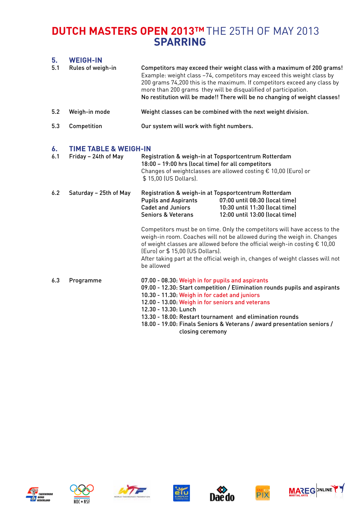#### **5. Weigh-in**

| 5.1 | Rules of weigh-in | Competitors may exceed their weight class with a maximum of 200 grams!<br>Example: weight class -74, competitors may exceed this weight class by<br>200 grams 74,200 this is the maximum. If competitors exceed any class by<br>more than 200 grams they will be disqualified of participation.<br>No restitution will be made!! There will be no changing of weight classes! |
|-----|-------------------|-------------------------------------------------------------------------------------------------------------------------------------------------------------------------------------------------------------------------------------------------------------------------------------------------------------------------------------------------------------------------------|
| 5.2 | Weigh-in mode     | Weight classes can be combined with the next weight division.                                                                                                                                                                                                                                                                                                                 |
| 5.3 | Competition       | Our system will work with fight numbers.                                                                                                                                                                                                                                                                                                                                      |

#### **6. Time Table & Weigh-in**

| 6.1 | Friday - 24th of May   | Registration & weigh-in at Topsportcentrum Rotterdam<br>18:00 - 19:00 hrs (local time) for all competitors<br>\$15,00 (US Dollars).                                                                                                                                                                                                                                                                                    | Changes of weightclasses are allowed costing € 10,00 (Euro) or                                                                                                                                                                                                                                                                |
|-----|------------------------|------------------------------------------------------------------------------------------------------------------------------------------------------------------------------------------------------------------------------------------------------------------------------------------------------------------------------------------------------------------------------------------------------------------------|-------------------------------------------------------------------------------------------------------------------------------------------------------------------------------------------------------------------------------------------------------------------------------------------------------------------------------|
| 6.2 | Saturday - 25th of May | Registration & weigh-in at Topsportcentrum Rotterdam<br><b>Pupils and Aspirants</b><br><b>Cadet and Juniors</b><br><b>Seniors &amp; Veterans</b>                                                                                                                                                                                                                                                                       | 07:00 until 08:30 (local time)<br>10:30 until 11:30 (local time)<br>12:00 until 13:00 (local time)                                                                                                                                                                                                                            |
|     |                        | (Euro) or \$15,00 (US Dollars).<br>be allowed                                                                                                                                                                                                                                                                                                                                                                          | Competitors must be on time. Only the competitors will have access to the<br>weigh-in room. Coaches will not be allowed during the weigh in. Changes<br>of weight classes are allowed before the official weigh-in costing $\epsilon$ 10,00<br>After taking part at the official weigh in, changes of weight classes will not |
| 6.3 | Programme              | 07.00 - 08.30: Weigh in for pupils and aspirants<br>09.00 - 12.30: Start competition / Elimination rounds pupils and aspirants<br>10.30 - 11.30: Weigh in for cadet and juniors<br>12.00 - 13.00: Weigh in for seniors and veterans<br>12.30 - 13.30: Lunch<br>13.30 - 18.00: Restart tournament and elimination rounds<br>18.00 - 19.00: Finals Seniors & Veterans / award presentation seniors /<br>closing ceremony |                                                                                                                                                                                                                                                                                                                               |